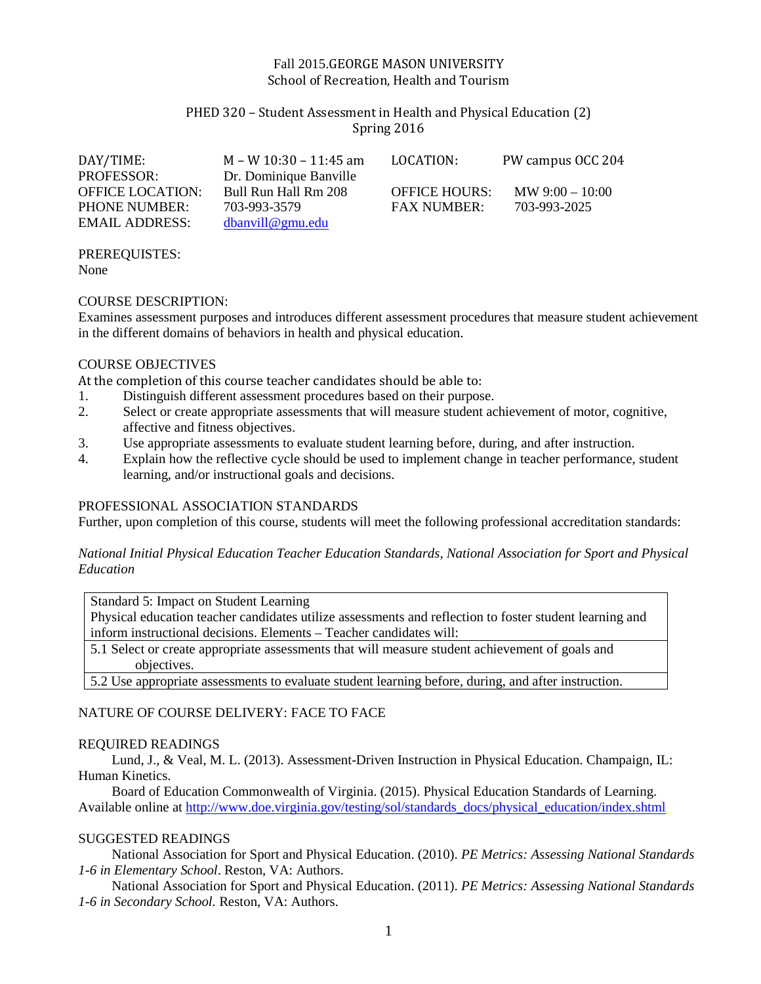### Fall 2015.GEORGE MASON UNIVERSITY School of Recreation, Health and Tourism

## PHED 320 – Student Assessment in Health and Physical Education (2) Spring 2016

| DAY/TIME:               | M – W 10:30 – 11:45 am | LOCATION:            | PW campus OCC 204         |
|-------------------------|------------------------|----------------------|---------------------------|
| <b>PROFESSOR:</b>       | Dr. Dominique Banville |                      |                           |
| <b>OFFICE LOCATION:</b> | Bull Run Hall Rm 208   | <b>OFFICE HOURS:</b> | $\text{MW } 9:00 - 10:00$ |
| <b>PHONE NUMBER:</b>    | 703-993-3579           | <b>FAX NUMBER:</b>   | 703-993-2025              |
| EMAIL ADDRESS:          | $dbanville$ gmu.edu    |                      |                           |

PREREQUISTES: None

#### COURSE DESCRIPTION:

Examines assessment purposes and introduces different assessment procedures that measure student achievement in the different domains of behaviors in health and physical education.

### COURSE OBJECTIVES

At the completion of this course teacher candidates should be able to:<br>1. Distinguish different assessment procedures based on their purpos

- Distinguish different assessment procedures based on their purpose.
- 2. Select or create appropriate assessments that will measure student achievement of motor, cognitive, affective and fitness objectives.
- 3. Use appropriate assessments to evaluate student learning before, during, and after instruction.
- 4. Explain how the reflective cycle should be used to implement change in teacher performance, student learning, and/or instructional goals and decisions.

### PROFESSIONAL ASSOCIATION STANDARDS

Further, upon completion of this course, students will meet the following professional accreditation standards:

*National Initial Physical Education Teacher Education Standards, National Association for Sport and Physical Education* 

Standard 5: Impact on Student Learning

Physical education teacher candidates utilize assessments and reflection to foster student learning and inform instructional decisions. Elements – Teacher candidates will:

5.1 Select or create appropriate assessments that will measure student achievement of goals and objectives.

5.2 Use appropriate assessments to evaluate student learning before, during, and after instruction.

### NATURE OF COURSE DELIVERY: FACE TO FACE

### REQUIRED READINGS

Lund, J., & Veal, M. L. (2013). Assessment-Driven Instruction in Physical Education. Champaign, IL: Human Kinetics.

Board of Education Commonwealth of Virginia. (2015). Physical Education Standards of Learning. Available online at [http://www.doe.virginia.gov/testing/sol/standards\\_docs/physical\\_education/index.shtml](http://www.doe.virginia.gov/testing/sol/standards_docs/physical_education/index.shtml)

### SUGGESTED READINGS

National Association for Sport and Physical Education. (2010). *PE Metrics: Assessing National Standards 1-6 in Elementary School*. Reston, VA: Authors.

National Association for Sport and Physical Education. (2011). *PE Metrics: Assessing National Standards 1-6 in Secondary School.* Reston, VA: Authors.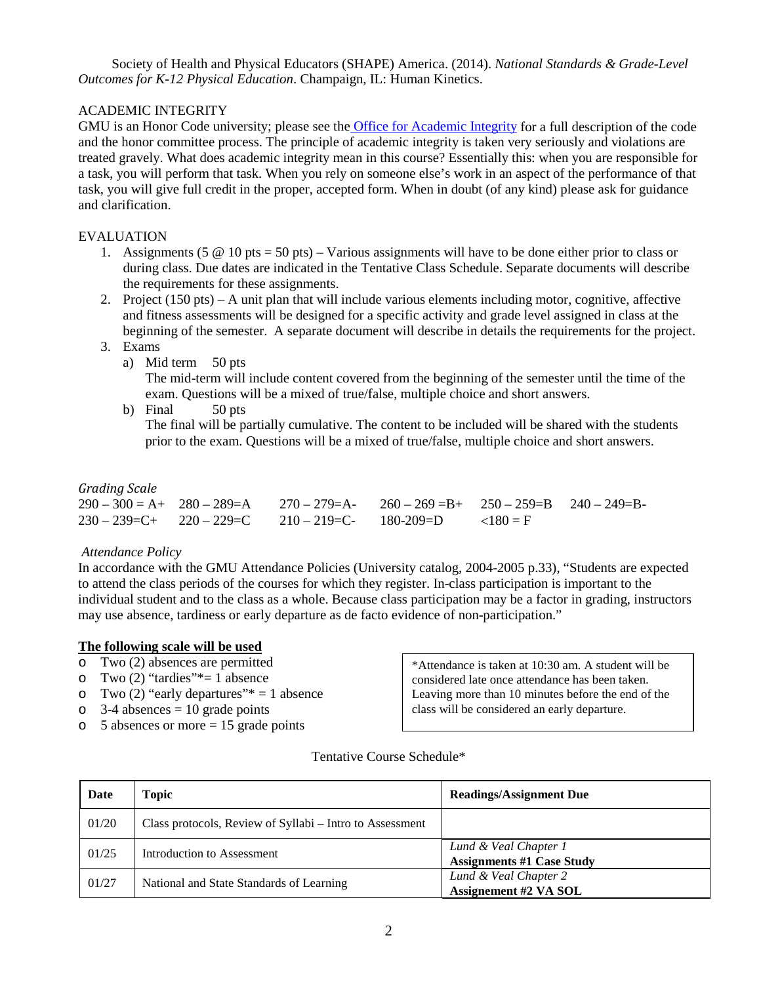Society of Health and Physical Educators (SHAPE) America. (2014). *National Standards & Grade-Level Outcomes for K-12 Physical Education*. Champaign, IL: Human Kinetics.

## ACADEMIC INTEGRITY

GMU is an Honor Code university; please see the [Office for Academic Integrity](http://oai.gmu.edu/?_ga=1.211278615.325810173.1323885705) for a full description of the code and the honor committee process. The principle of academic integrity is taken very seriously and violations are treated gravely. What does academic integrity mean in this course? Essentially this: when you are responsible for a task, you will perform that task. When you rely on someone else's work in an aspect of the performance of that task, you will give full credit in the proper, accepted form. When in doubt (of any kind) please ask for guidance and clarification.

## EVALUATION

- 1. Assignments (5  $\textcircled{a}$  10 pts = 50 pts) Various assignments will have to be done either prior to class or during class. Due dates are indicated in the Tentative Class Schedule. Separate documents will describe the requirements for these assignments.
- 2. Project (150 pts) A unit plan that will include various elements including motor, cognitive, affective and fitness assessments will be designed for a specific activity and grade level assigned in class at the beginning of the semester. A separate document will describe in details the requirements for the project.
- 3. Exams
	- a) Mid term 50 pts

The mid-term will include content covered from the beginning of the semester until the time of the exam. Questions will be a mixed of true/false, multiple choice and short answers.

b) Final 50 pts

The final will be partially cumulative. The content to be included will be shared with the students prior to the exam. Questions will be a mixed of true/false, multiple choice and short answers.

### *Grading Scale*

|  | $290-300 = A + 280-289 = A$ $270-279 = A - 260-269 = B + 250-259 = B$ $240-249 = B - 250$ |  |
|--|-------------------------------------------------------------------------------------------|--|
|  | $230 - 239 = C + 220 - 229 = C$ $210 - 219 = C - 180 - 209 = D$ $\langle 180 = F$         |  |

### *Attendance Policy*

In accordance with the GMU Attendance Policies (University catalog, 2004-2005 p.33), "Students are expected to attend the class periods of the courses for which they register. In-class participation is important to the individual student and to the class as a whole. Because class participation may be a factor in grading, instructors may use absence, tardiness or early departure as de facto evidence of non-participation."

### **The following scale will be used**

- o Two (2) absences are permitted
- o Two (2) "tardies"\*= 1 absence<br>  $\circ$  Two (2) "early departures"\* = 1
- o Two (2) "early departures"  $= 1$  absence<br>
o 3-4 absences = 10 grade points
- $3-4$  absences  $= 10$  grade points
- $\circ$  5 absences or more = 15 grade points

\*Attendance is taken at 10:30 am. A student will be considered late once attendance has been taken. Leaving more than 10 minutes before the end of the class will be considered an early departure.

#### Tentative Course Schedule\*

| Date  | Topic                                                    | <b>Readings/Assignment Due</b>                            |
|-------|----------------------------------------------------------|-----------------------------------------------------------|
| 01/20 | Class protocols, Review of Syllabi – Intro to Assessment |                                                           |
| 01/25 | Introduction to Assessment                               | Lund & Veal Chapter 1<br><b>Assignments #1 Case Study</b> |
| 01/27 | National and State Standards of Learning                 | Lund & Veal Chapter 2<br><b>Assignement #2 VA SOL</b>     |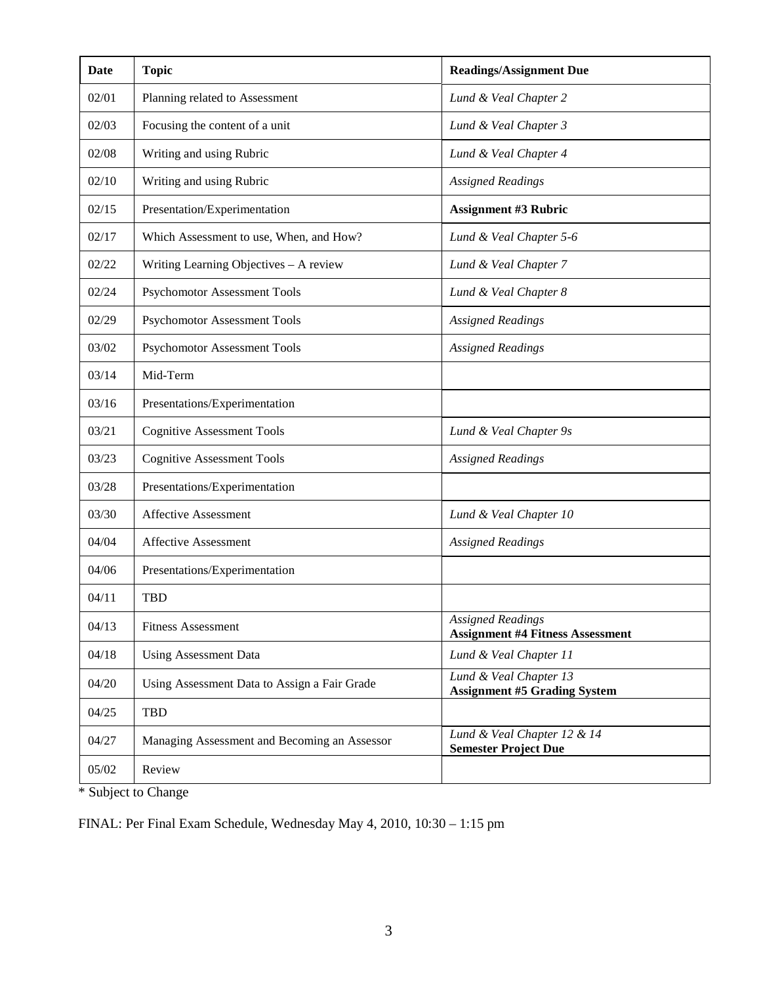| Date  | <b>Topic</b>                                 | <b>Readings/Assignment Due</b>                                      |  |
|-------|----------------------------------------------|---------------------------------------------------------------------|--|
| 02/01 | Planning related to Assessment               | Lund & Veal Chapter 2                                               |  |
| 02/03 | Focusing the content of a unit               | Lund & Veal Chapter 3                                               |  |
| 02/08 | Writing and using Rubric                     | Lund & Veal Chapter 4                                               |  |
| 02/10 | Writing and using Rubric                     | <b>Assigned Readings</b>                                            |  |
| 02/15 | Presentation/Experimentation                 | <b>Assignment #3 Rubric</b>                                         |  |
| 02/17 | Which Assessment to use, When, and How?      | Lund & Veal Chapter 5-6                                             |  |
| 02/22 | Writing Learning Objectives - A review       | Lund & Veal Chapter 7                                               |  |
| 02/24 | <b>Psychomotor Assessment Tools</b>          | Lund & Veal Chapter 8                                               |  |
| 02/29 | <b>Psychomotor Assessment Tools</b>          | <b>Assigned Readings</b>                                            |  |
| 03/02 | <b>Psychomotor Assessment Tools</b>          | <b>Assigned Readings</b>                                            |  |
| 03/14 | Mid-Term                                     |                                                                     |  |
| 03/16 | Presentations/Experimentation                |                                                                     |  |
| 03/21 | <b>Cognitive Assessment Tools</b>            | Lund & Veal Chapter 9s                                              |  |
| 03/23 | <b>Cognitive Assessment Tools</b>            | <b>Assigned Readings</b>                                            |  |
| 03/28 | Presentations/Experimentation                |                                                                     |  |
| 03/30 | <b>Affective Assessment</b>                  | Lund & Veal Chapter 10                                              |  |
| 04/04 | <b>Affective Assessment</b>                  | <b>Assigned Readings</b>                                            |  |
| 04/06 | Presentations/Experimentation                |                                                                     |  |
| 04/11 | <b>TBD</b>                                   |                                                                     |  |
| 04/13 | <b>Fitness Assessment</b>                    | <b>Assigned Readings</b><br><b>Assignment #4 Fitness Assessment</b> |  |
| 04/18 | <b>Using Assessment Data</b>                 | Lund & Veal Chapter 11                                              |  |
| 04/20 | Using Assessment Data to Assign a Fair Grade | Lund & Veal Chapter 13<br><b>Assignment #5 Grading System</b>       |  |
| 04/25 | <b>TBD</b>                                   |                                                                     |  |
| 04/27 | Managing Assessment and Becoming an Assessor | Lund & Veal Chapter 12 & 14<br><b>Semester Project Due</b>          |  |
| 05/02 | Review                                       |                                                                     |  |

\* Subject to Change

FINAL: Per Final Exam Schedule, Wednesday May 4, 2010, 10:30 – 1:15 pm